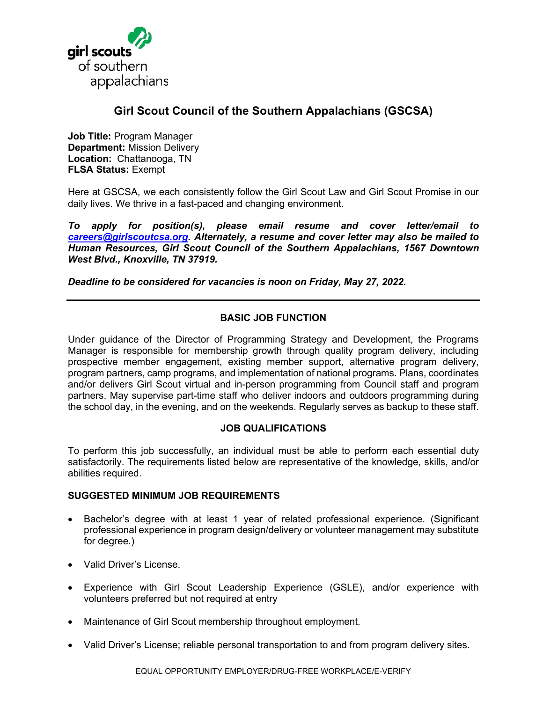

# **Girl Scout Council of the Southern Appalachians (GSCSA)**

**Job Title:** Program Manager **Department:** Mission Delivery **Location:** Chattanooga, TN **FLSA Status:** Exempt

Here at GSCSA, we each consistently follow the Girl Scout Law and Girl Scout Promise in our daily lives. We thrive in a fast-paced and changing environment.

*To apply for position(s), please email resume and cover letter/email to [careers@girlscoutcsa.org.](mailto:careers@girlscoutcsa.org) Alternately, a resume and cover letter may also be mailed to Human Resources, Girl Scout Council of the Southern Appalachians, 1567 Downtown West Blvd., Knoxville, TN 37919.* 

*Deadline to be considered for vacancies is noon on Friday, May 27, 2022.* 

## **BASIC JOB FUNCTION**

Under guidance of the Director of Programming Strategy and Development, the Programs Manager is responsible for membership growth through quality program delivery, including prospective member engagement, existing member support, alternative program delivery, program partners, camp programs, and implementation of national programs. Plans, coordinates and/or delivers Girl Scout virtual and in-person programming from Council staff and program partners. May supervise part-time staff who deliver indoors and outdoors programming during the school day, in the evening, and on the weekends. Regularly serves as backup to these staff.

## **JOB QUALIFICATIONS**

To perform this job successfully, an individual must be able to perform each essential duty satisfactorily. The requirements listed below are representative of the knowledge, skills, and/or abilities required.

#### **SUGGESTED MINIMUM JOB REQUIREMENTS**

- Bachelor's degree with at least 1 year of related professional experience. (Significant professional experience in program design/delivery or volunteer management may substitute for degree.)
- Valid Driver's License.
- Experience with Girl Scout Leadership Experience (GSLE), and/or experience with volunteers preferred but not required at entry
- Maintenance of Girl Scout membership throughout employment.
- Valid Driver's License; reliable personal transportation to and from program delivery sites.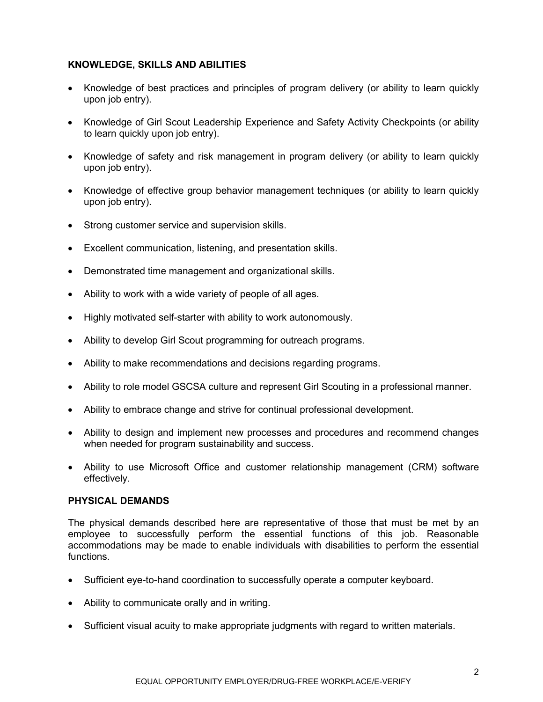## **KNOWLEDGE, SKILLS AND ABILITIES**

- Knowledge of best practices and principles of program delivery (or ability to learn quickly upon job entry).
- Knowledge of Girl Scout Leadership Experience and Safety Activity Checkpoints (or ability to learn quickly upon job entry).
- Knowledge of safety and risk management in program delivery (or ability to learn quickly upon job entry).
- Knowledge of effective group behavior management techniques (or ability to learn quickly upon job entry).
- Strong customer service and supervision skills.
- Excellent communication, listening, and presentation skills.
- Demonstrated time management and organizational skills.
- Ability to work with a wide variety of people of all ages.
- Highly motivated self-starter with ability to work autonomously.
- Ability to develop Girl Scout programming for outreach programs.
- Ability to make recommendations and decisions regarding programs.
- Ability to role model GSCSA culture and represent Girl Scouting in a professional manner.
- Ability to embrace change and strive for continual professional development.
- Ability to design and implement new processes and procedures and recommend changes when needed for program sustainability and success.
- Ability to use Microsoft Office and customer relationship management (CRM) software effectively.

## **PHYSICAL DEMANDS**

The physical demands described here are representative of those that must be met by an employee to successfully perform the essential functions of this job. Reasonable accommodations may be made to enable individuals with disabilities to perform the essential functions.

- Sufficient eye-to-hand coordination to successfully operate a computer keyboard.
- Ability to communicate orally and in writing.
- Sufficient visual acuity to make appropriate judgments with regard to written materials.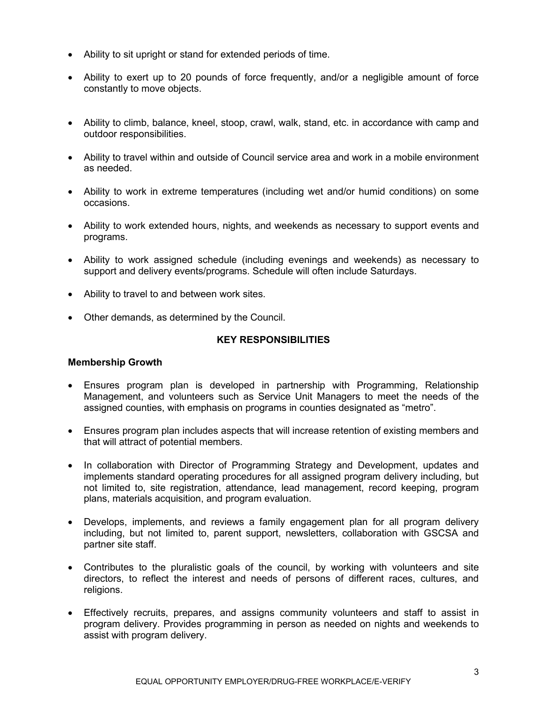- Ability to sit upright or stand for extended periods of time.
- Ability to exert up to 20 pounds of force frequently, and/or a negligible amount of force constantly to move objects.
- Ability to climb, balance, kneel, stoop, crawl, walk, stand, etc. in accordance with camp and outdoor responsibilities.
- Ability to travel within and outside of Council service area and work in a mobile environment as needed.
- Ability to work in extreme temperatures (including wet and/or humid conditions) on some occasions.
- Ability to work extended hours, nights, and weekends as necessary to support events and programs.
- Ability to work assigned schedule (including evenings and weekends) as necessary to support and delivery events/programs. Schedule will often include Saturdays.
- Ability to travel to and between work sites.
- Other demands, as determined by the Council.

## **KEY RESPONSIBILITIES**

#### **Membership Growth**

- Ensures program plan is developed in partnership with Programming, Relationship Management, and volunteers such as Service Unit Managers to meet the needs of the assigned counties, with emphasis on programs in counties designated as "metro".
- Ensures program plan includes aspects that will increase retention of existing members and that will attract of potential members.
- In collaboration with Director of Programming Strategy and Development, updates and implements standard operating procedures for all assigned program delivery including, but not limited to, site registration, attendance, lead management, record keeping, program plans, materials acquisition, and program evaluation.
- Develops, implements, and reviews a family engagement plan for all program delivery including, but not limited to, parent support, newsletters, collaboration with GSCSA and partner site staff.
- Contributes to the pluralistic goals of the council, by working with volunteers and site directors, to reflect the interest and needs of persons of different races, cultures, and religions.
- Effectively recruits, prepares, and assigns community volunteers and staff to assist in program delivery. Provides programming in person as needed on nights and weekends to assist with program delivery.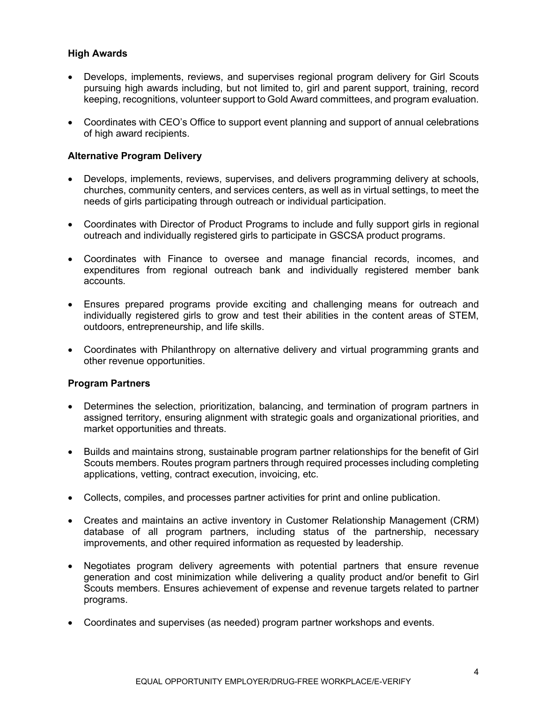# **High Awards**

- Develops, implements, reviews, and supervises regional program delivery for Girl Scouts pursuing high awards including, but not limited to, girl and parent support, training, record keeping, recognitions, volunteer support to Gold Award committees, and program evaluation.
- Coordinates with CEO's Office to support event planning and support of annual celebrations of high award recipients.

# **Alternative Program Delivery**

- Develops, implements, reviews, supervises, and delivers programming delivery at schools, churches, community centers, and services centers, as well as in virtual settings, to meet the needs of girls participating through outreach or individual participation.
- Coordinates with Director of Product Programs to include and fully support girls in regional outreach and individually registered girls to participate in GSCSA product programs.
- Coordinates with Finance to oversee and manage financial records, incomes, and expenditures from regional outreach bank and individually registered member bank accounts.
- Ensures prepared programs provide exciting and challenging means for outreach and individually registered girls to grow and test their abilities in the content areas of STEM, outdoors, entrepreneurship, and life skills.
- Coordinates with Philanthropy on alternative delivery and virtual programming grants and other revenue opportunities.

## **Program Partners**

- Determines the selection, prioritization, balancing, and termination of program partners in assigned territory, ensuring alignment with strategic goals and organizational priorities, and market opportunities and threats.
- Builds and maintains strong, sustainable program partner relationships for the benefit of Girl Scouts members. Routes program partners through required processes including completing applications, vetting, contract execution, invoicing, etc.
- Collects, compiles, and processes partner activities for print and online publication.
- Creates and maintains an active inventory in Customer Relationship Management (CRM) database of all program partners, including status of the partnership, necessary improvements, and other required information as requested by leadership.
- Negotiates program delivery agreements with potential partners that ensure revenue generation and cost minimization while delivering a quality product and/or benefit to Girl Scouts members. Ensures achievement of expense and revenue targets related to partner programs.
- Coordinates and supervises (as needed) program partner workshops and events.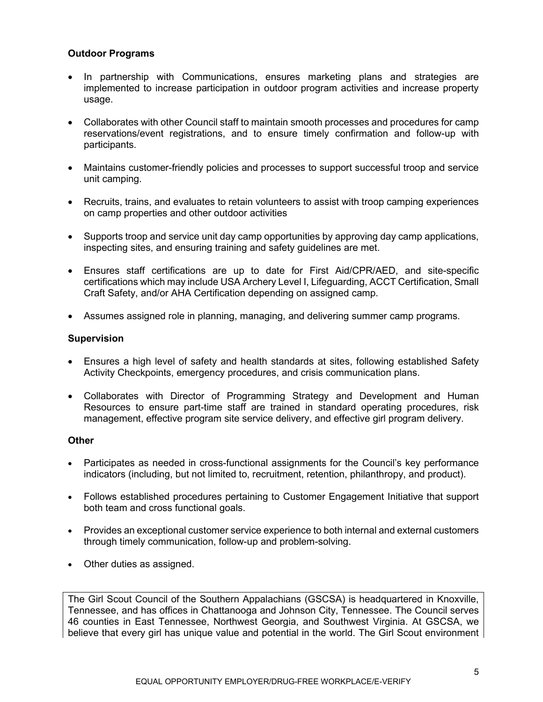# **Outdoor Programs**

- In partnership with Communications, ensures marketing plans and strategies are implemented to increase participation in outdoor program activities and increase property usage.
- Collaborates with other Council staff to maintain smooth processes and procedures for camp reservations/event registrations, and to ensure timely confirmation and follow-up with participants.
- Maintains customer-friendly policies and processes to support successful troop and service unit camping.
- Recruits, trains, and evaluates to retain volunteers to assist with troop camping experiences on camp properties and other outdoor activities
- Supports troop and service unit day camp opportunities by approving day camp applications, inspecting sites, and ensuring training and safety guidelines are met.
- Ensures staff certifications are up to date for First Aid/CPR/AED, and site-specific certifications which may include USA Archery Level I, Lifeguarding, ACCT Certification, Small Craft Safety, and/or AHA Certification depending on assigned camp.
- Assumes assigned role in planning, managing, and delivering summer camp programs.

## **Supervision**

- Ensures a high level of safety and health standards at sites, following established Safety Activity Checkpoints, emergency procedures, and crisis communication plans.
- Collaborates with Director of Programming Strategy and Development and Human Resources to ensure part-time staff are trained in standard operating procedures, risk management, effective program site service delivery, and effective girl program delivery.

#### **Other**

- Participates as needed in cross-functional assignments for the Council's key performance indicators (including, but not limited to, recruitment, retention, philanthropy, and product).
- Follows established procedures pertaining to Customer Engagement Initiative that support both team and cross functional goals.
- Provides an exceptional customer service experience to both internal and external customers through timely communication, follow-up and problem-solving.
- Other duties as assigned.

The Girl Scout Council of the Southern Appalachians (GSCSA) is headquartered in Knoxville, Tennessee, and has offices in Chattanooga and Johnson City, Tennessee. The Council serves 46 counties in East Tennessee, Northwest Georgia, and Southwest Virginia. At GSCSA, we believe that every girl has unique value and potential in the world. The Girl Scout environment